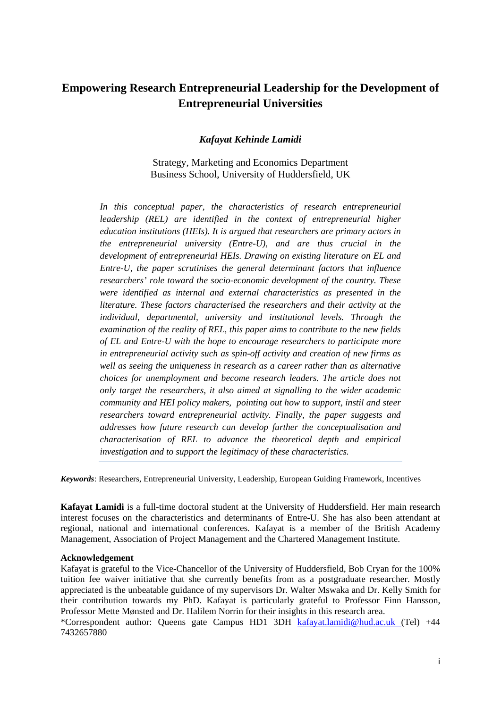# **Empowering Research Entrepreneurial Leadership for the Development of Entrepreneurial Universities**

#### *Kafayat Kehinde Lamidi*

Strategy, Marketing and Economics Department Business School, University of Huddersfield, UK

*In this conceptual paper, the characteristics of research entrepreneurial leadership (REL) are identified in the context of entrepreneurial higher education institutions (HEIs). It is argued that researchers are primary actors in the entrepreneurial university (Entre-U), and are thus crucial in the development of entrepreneurial HEIs. Drawing on existing literature on EL and Entre-U, the paper scrutinises the general determinant factors that influence researchers' role toward the socio-economic development of the country. These were identified as internal and external characteristics as presented in the literature. These factors characterised the researchers and their activity at the individual, departmental, university and institutional levels. Through the examination of the reality of REL, this paper aims to contribute to the new fields of EL and Entre-U with the hope to encourage researchers to participate more in entrepreneurial activity such as spin-off activity and creation of new firms as well as seeing the uniqueness in research as a career rather than as alternative choices for unemployment and become research leaders. The article does not only target the researchers, it also aimed at signalling to the wider academic community and HEI policy makers, pointing out how to support, instil and steer researchers toward entrepreneurial activity. Finally, the paper suggests and addresses how future research can develop further the conceptualisation and characterisation of REL to advance the theoretical depth and empirical investigation and to support the legitimacy of these characteristics.*

*Keywords*: Researchers, Entrepreneurial University, Leadership, European Guiding Framework, Incentives

**Kafayat Lamidi** is a full-time doctoral student at the University of Huddersfield. Her main research interest focuses on the characteristics and determinants of Entre-U. She has also been attendant at regional, national and international conferences. Kafayat is a member of the British Academy Management, Association of Project Management and the Chartered Management Institute.

#### **Acknowledgement**

Kafayat is grateful to the Vice-Chancellor of the University of Huddersfield, Bob Cryan for the 100% tuition fee waiver initiative that she currently benefits from as a postgraduate researcher. Mostly appreciated is the unbeatable guidance of my supervisors Dr. Walter Mswaka and Dr. Kelly Smith for their contribution towards my PhD. Kafayat is particularly grateful to Professor Finn Hansson, Professor Mette Mønsted and Dr. Halilem Norrin for their insights in this research area.

\*Correspondent author: Queens gate Campus HD1 3DH [kafayat.lamidi@hud.ac.uk](mailto:kafayat.lamidi@hud.ac.uk) (Tel) +44 7432657880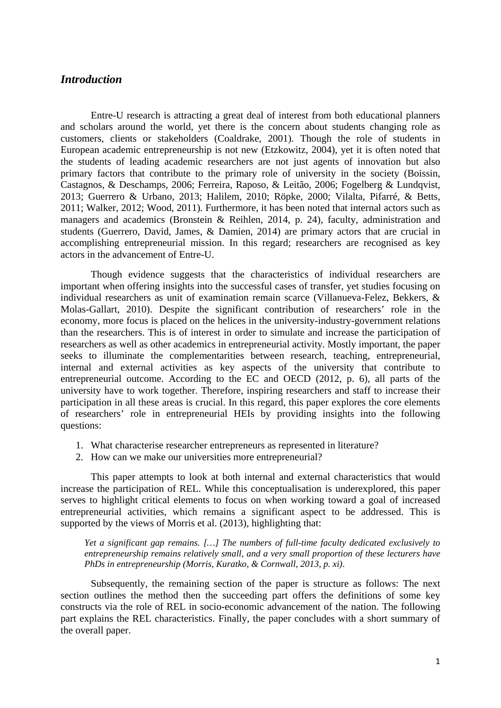### *Introduction*

Entre-U research is attracting a great deal of interest from both educational planners and scholars around the world, yet there is the concern about students changing role as customers, clients or stakeholders (Coaldrake, 2001). Though the role of students in European academic entrepreneurship is not new (Etzkowitz, 2004), yet it is often noted that the students of leading academic researchers are not just agents of innovation but also primary factors that contribute to the primary role of university in the society (Boissin, Castagnos, & Deschamps, 2006; Ferreira, Raposo, & Leitão, 2006; Fogelberg & Lundqvist, 2013; Guerrero & Urbano, 2013; Halilem, 2010; Röpke, 2000; Vilalta, Pifarré, & Betts, 2011; Walker, 2012; Wood, 2011). Furthermore, it has been noted that internal actors such as managers and academics (Bronstein & Reihlen, 2014, p. 24), faculty, administration and students (Guerrero, David, James, & Damien, 2014) are primary actors that are crucial in accomplishing entrepreneurial mission. In this regard; researchers are recognised as key actors in the advancement of Entre-U.

Though evidence suggests that the characteristics of individual researchers are important when offering insights into the successful cases of transfer, yet studies focusing on individual researchers as unit of examination remain scarce (Villanueva-Felez, Bekkers, & Molas-Gallart, 2010). Despite the significant contribution of researchers' role in the economy, more focus is placed on the helices in the university-industry-government relations than the researchers. This is of interest in order to simulate and increase the participation of researchers as well as other academics in entrepreneurial activity. Mostly important, the paper seeks to illuminate the complementarities between research, teaching, entrepreneurial, internal and external activities as key aspects of the university that contribute to entrepreneurial outcome. According to the EC and OECD (2012, p. 6), all parts of the university have to work together. Therefore, inspiring researchers and staff to increase their participation in all these areas is crucial. In this regard, this paper explores the core elements of researchers' role in entrepreneurial HEIs by providing insights into the following questions:

- 1. What characterise researcher entrepreneurs as represented in literature?
- 2. How can we make our universities more entrepreneurial?

This paper attempts to look at both internal and external characteristics that would increase the participation of REL. While this conceptualisation is underexplored, this paper serves to highlight critical elements to focus on when working toward a goal of increased entrepreneurial activities, which remains a significant aspect to be addressed. This is supported by the views of Morris et al. (2013), highlighting that:

*Yet a significant gap remains. […] The numbers of full-time faculty dedicated exclusively to entrepreneurship remains relatively small, and a very small proportion of these lecturers have PhDs in entrepreneurship (Morris, Kuratko, & Cornwall, 2013, p. xi)*.

Subsequently, the remaining section of the paper is structure as follows: The next section outlines the method then the succeeding part offers the definitions of some key constructs via the role of REL in socio-economic advancement of the nation. The following part explains the REL characteristics. Finally, the paper concludes with a short summary of the overall paper.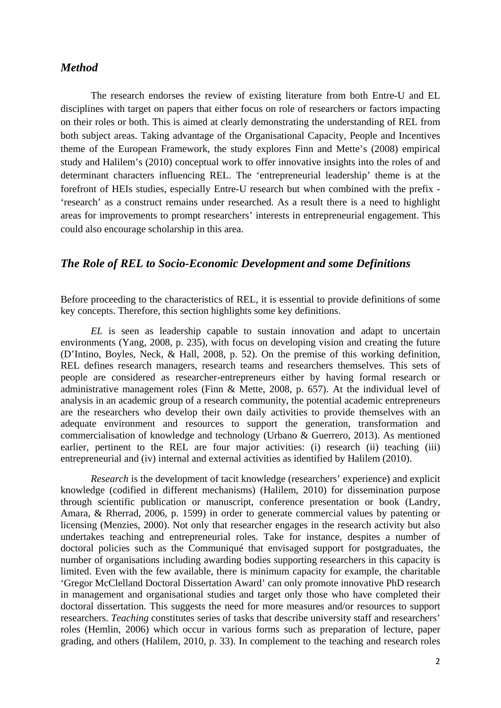### *Method*

The research endorses the review of existing literature from both Entre-U and EL disciplines with target on papers that either focus on role of researchers or factors impacting on their roles or both. This is aimed at clearly demonstrating the understanding of REL from both subject areas. Taking advantage of the Organisational Capacity, People and Incentives theme of the European Framework, the study explores Finn and Mette's (2008) empirical study and Halilem's (2010) conceptual work to offer innovative insights into the roles of and determinant characters influencing REL. The 'entrepreneurial leadership' theme is at the forefront of HEIs studies, especially Entre-U research but when combined with the prefix - 'research' as a construct remains under researched. As a result there is a need to highlight areas for improvements to prompt researchers' interests in entrepreneurial engagement. This could also encourage scholarship in this area.

### *The Role of REL to Socio-Economic Development and some Definitions*

Before proceeding to the characteristics of REL, it is essential to provide definitions of some key concepts. Therefore, this section highlights some key definitions.

*EL* is seen as leadership capable to sustain innovation and adapt to uncertain environments (Yang, 2008, p. 235), with focus on developing vision and creating the future (D'Intino, Boyles, Neck, & Hall, 2008, p. 52). On the premise of this working definition, REL defines research managers, research teams and researchers themselves. This sets of people are considered as researcher-entrepreneurs either by having formal research or administrative management roles (Finn & Mette, 2008, p. 657). At the individual level of analysis in an academic group of a research community, the potential academic entrepreneurs are the researchers who develop their own daily activities to provide themselves with an adequate environment and resources to support the generation, transformation and commercialisation of knowledge and technology (Urbano & Guerrero, 2013). As mentioned earlier, pertinent to the REL are four major activities: (i) research (ii) teaching (iii) entrepreneurial and (iv) internal and external activities as identified by Halilem (2010).

*Research* is the development of tacit knowledge (researchers' experience) and explicit knowledge (codified in different mechanisms) (Halilem, 2010) for dissemination purpose through scientific publication or manuscript, conference presentation or book (Landry, Amara, & Rherrad, 2006, p. 1599) in order to generate commercial values by patenting or licensing (Menzies, 2000). Not only that researcher engages in the research activity but also undertakes teaching and entrepreneurial roles. Take for instance, despites a number of doctoral policies such as the Communiqué that envisaged support for postgraduates, the number of organisations including awarding bodies supporting researchers in this capacity is limited. Even with the few available, there is minimum capacity for example, the charitable 'Gregor McClelland Doctoral Dissertation Award' can only promote innovative PhD research in management and organisational studies and target only those who have completed their doctoral dissertation. This suggests the need for more measures and/or resources to support researchers. *Teaching* constitutes series of tasks that describe university staff and researchers' roles (Hemlin, 2006) which occur in various forms such as preparation of lecture, paper grading, and others (Halilem, 2010, p. 33). In complement to the teaching and research roles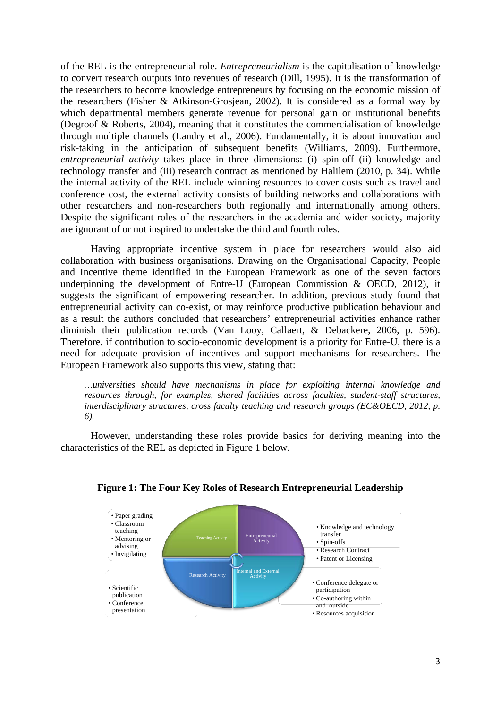of the REL is the entrepreneurial role. *Entrepreneurialism* is the capitalisation of knowledge to convert research outputs into revenues of research (Dill, 1995). It is the transformation of the researchers to become knowledge entrepreneurs by focusing on the economic mission of the researchers (Fisher & Atkinson-Grosjean, 2002). It is considered as a formal way by which departmental members generate revenue for personal gain or institutional benefits (Degroof & Roberts, 2004), meaning that it constitutes the commercialisation of knowledge through multiple channels (Landry et al., 2006). Fundamentally, it is about innovation and risk-taking in the anticipation of subsequent benefits (Williams, 2009). Furthermore, *entrepreneurial activity* takes place in three dimensions: (i) spin-off (ii) knowledge and technology transfer and (iii) research contract as mentioned by Halilem (2010, p. 34). While the internal activity of the REL include winning resources to cover costs such as travel and conference cost, the external activity consists of building networks and collaborations with other researchers and non-researchers both regionally and internationally among others. Despite the significant roles of the researchers in the academia and wider society, majority are ignorant of or not inspired to undertake the third and fourth roles.

Having appropriate incentive system in place for researchers would also aid collaboration with business organisations. Drawing on the Organisational Capacity, People and Incentive theme identified in the European Framework as one of the seven factors underpinning the development of Entre-U (European Commission & OECD, 2012), it suggests the significant of empowering researcher. In addition, previous study found that entrepreneurial activity can co-exist, or may reinforce productive publication behaviour and as a result the authors concluded that researchers' entrepreneurial activities enhance rather diminish their publication records (Van Looy, Callaert, & Debackere, 2006, p. 596). Therefore, if contribution to socio-economic development is a priority for Entre-U, there is a need for adequate provision of incentives and support mechanisms for researchers. The European Framework also supports this view, stating that:

*…universities should have mechanisms in place for exploiting internal knowledge and resources through, for examples, shared facilities across faculties, student-staff structures, interdisciplinary structures, cross faculty teaching and research groups (EC&OECD, 2012, p. 6).* 

However, understanding these roles provide basics for deriving meaning into the characteristics of the REL as depicted in Figure 1 below.



#### **Figure 1: The Four Key Roles of Research Entrepreneurial Leadership**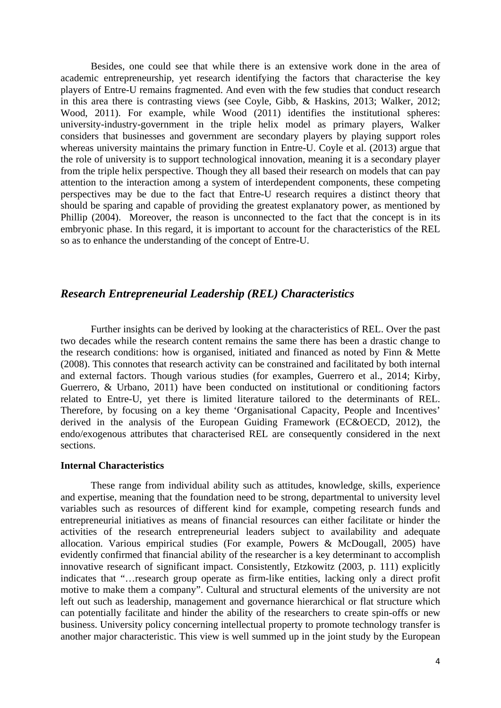Besides, one could see that while there is an extensive work done in the area of academic entrepreneurship, yet research identifying the factors that characterise the key players of Entre-U remains fragmented. And even with the few studies that conduct research in this area there is contrasting views (see Coyle, Gibb, & Haskins, 2013; Walker, 2012; Wood, 2011). For example, while Wood (2011) identifies the institutional spheres: university-industry-government in the triple helix model as primary players, Walker considers that businesses and government are secondary players by playing support roles whereas university maintains the primary function in Entre-U. Coyle et al. (2013) argue that the role of university is to support technological innovation, meaning it is a secondary player from the triple helix perspective. Though they all based their research on models that can pay attention to the interaction among a system of interdependent components, these competing perspectives may be due to the fact that Entre-U research requires a distinct theory that should be sparing and capable of providing the greatest explanatory power, as mentioned by Phillip (2004). Moreover, the reason is unconnected to the fact that the concept is in its embryonic phase. In this regard, it is important to account for the characteristics of the REL so as to enhance the understanding of the concept of Entre-U.

### *Research Entrepreneurial Leadership (REL) Characteristics*

Further insights can be derived by looking at the characteristics of REL. Over the past two decades while the research content remains the same there has been a drastic change to the research conditions: how is organised, initiated and financed as noted by Finn & Mette (2008). This connotes that research activity can be constrained and facilitated by both internal and external factors. Though various studies (for examples, Guerrero et al., 2014; Kirby, Guerrero, & Urbano, 2011) have been conducted on institutional or conditioning factors related to Entre-U, yet there is limited literature tailored to the determinants of REL. Therefore, by focusing on a key theme 'Organisational Capacity, People and Incentives' derived in the analysis of the European Guiding Framework (EC&OECD, 2012), the endo/exogenous attributes that characterised REL are consequently considered in the next sections.

#### **Internal Characteristics**

These range from individual ability such as attitudes, knowledge, skills, experience and expertise, meaning that the foundation need to be strong, departmental to university level variables such as resources of different kind for example, competing research funds and entrepreneurial initiatives as means of financial resources can either facilitate or hinder the activities of the research entrepreneurial leaders subject to availability and adequate allocation. Various empirical studies (For example, Powers & McDougall, 2005) have evidently confirmed that financial ability of the researcher is a key determinant to accomplish innovative research of significant impact. Consistently, Etzkowitz (2003, p. 111) explicitly indicates that "…research group operate as firm-like entities, lacking only a direct profit motive to make them a company". Cultural and structural elements of the university are not left out such as leadership, management and governance hierarchical or flat structure which can potentially facilitate and hinder the ability of the researchers to create spin-offs or new business. University policy concerning intellectual property to promote technology transfer is another major characteristic. This view is well summed up in the joint study by the European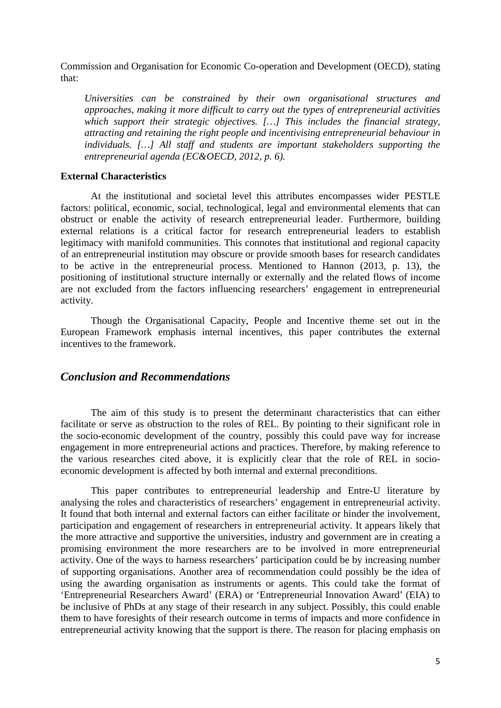Commission and Organisation for Economic Co-operation and Development (OECD), stating that:

*Universities can be constrained by their own organisational structures and approaches, making it more difficult to carry out the types of entrepreneurial activities which support their strategic objectives. […] This includes the financial strategy, attracting and retaining the right people and incentivising entrepreneurial behaviour in individuals. […] All staff and students are important stakeholders supporting the entrepreneurial agenda (EC&OECD, 2012, p. 6).*

#### **External Characteristics**

At the institutional and societal level this attributes encompasses wider PESTLE factors: political, economic, social, technological, legal and environmental elements that can obstruct or enable the activity of research entrepreneurial leader. Furthermore, building external relations is a critical factor for research entrepreneurial leaders to establish legitimacy with manifold communities. This connotes that institutional and regional capacity of an entrepreneurial institution may obscure or provide smooth bases for research candidates to be active in the entrepreneurial process. Mentioned to Hannon (2013, p. 13), the positioning of institutional structure internally or externally and the related flows of income are not excluded from the factors influencing researchers' engagement in entrepreneurial activity.

Though the Organisational Capacity, People and Incentive theme set out in the European Framework emphasis internal incentives, this paper contributes the external incentives to the framework.

### *Conclusion and Recommendations*

The aim of this study is to present the determinant characteristics that can either facilitate or serve as obstruction to the roles of REL. By pointing to their significant role in the socio-economic development of the country, possibly this could pave way for increase engagement in more entrepreneurial actions and practices. Therefore, by making reference to the various researches cited above, it is explicitly clear that the role of REL in socioeconomic development is affected by both internal and external preconditions.

This paper contributes to entrepreneurial leadership and Entre-U literature by analysing the roles and characteristics of researchers' engagement in entrepreneurial activity. It found that both internal and external factors can either facilitate or hinder the involvement, participation and engagement of researchers in entrepreneurial activity. It appears likely that the more attractive and supportive the universities, industry and government are in creating a promising environment the more researchers are to be involved in more entrepreneurial activity. One of the ways to harness researchers' participation could be by increasing number of supporting organisations. Another area of recommendation could possibly be the idea of using the awarding organisation as instruments or agents. This could take the format of 'Entrepreneurial Researchers Award' (ERA) or 'Entrepreneurial Innovation Award' (EIA) to be inclusive of PhDs at any stage of their research in any subject. Possibly, this could enable them to have foresights of their research outcome in terms of impacts and more confidence in entrepreneurial activity knowing that the support is there. The reason for placing emphasis on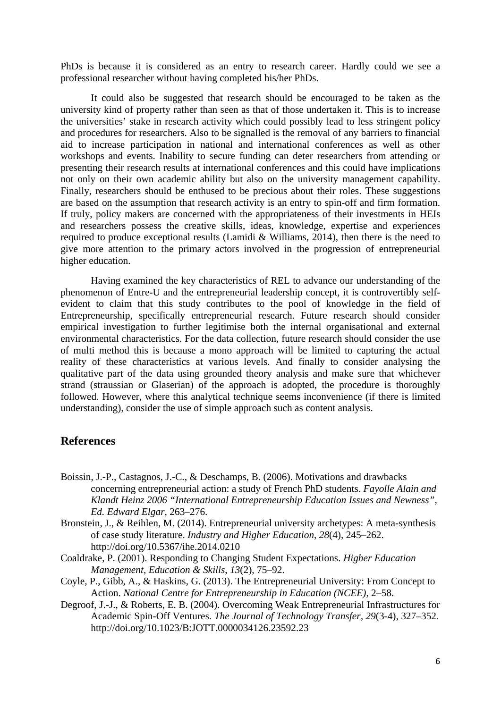PhDs is because it is considered as an entry to research career. Hardly could we see a professional researcher without having completed his/her PhDs.

It could also be suggested that research should be encouraged to be taken as the university kind of property rather than seen as that of those undertaken it. This is to increase the universities' stake in research activity which could possibly lead to less stringent policy and procedures for researchers. Also to be signalled is the removal of any barriers to financial aid to increase participation in national and international conferences as well as other workshops and events. Inability to secure funding can deter researchers from attending or presenting their research results at international conferences and this could have implications not only on their own academic ability but also on the university management capability. Finally, researchers should be enthused to be precious about their roles. These suggestions are based on the assumption that research activity is an entry to spin-off and firm formation. If truly, policy makers are concerned with the appropriateness of their investments in HEIs and researchers possess the creative skills, ideas, knowledge, expertise and experiences required to produce exceptional results (Lamidi & Williams, 2014), then there is the need to give more attention to the primary actors involved in the progression of entrepreneurial higher education.

Having examined the key characteristics of REL to advance our understanding of the phenomenon of Entre-U and the entrepreneurial leadership concept, it is controvertibly selfevident to claim that this study contributes to the pool of knowledge in the field of Entrepreneurship, specifically entrepreneurial research. Future research should consider empirical investigation to further legitimise both the internal organisational and external environmental characteristics. For the data collection, future research should consider the use of multi method this is because a mono approach will be limited to capturing the actual reality of these characteristics at various levels. And finally to consider analysing the qualitative part of the data using grounded theory analysis and make sure that whichever strand (straussian or Glaserian) of the approach is adopted, the procedure is thoroughly followed. However, where this analytical technique seems inconvenience (if there is limited understanding), consider the use of simple approach such as content analysis.

## **References**

- Boissin, J.-P., Castagnos, J.-C., & Deschamps, B. (2006). Motivations and drawbacks concerning entrepreneurial action: a study of French PhD students. *Fayolle Alain and Klandt Heinz 2006 "International Entrepreneurship Education Issues and Newness", Ed. Edward Elgar,* 263–276.
- Bronstein, J., & Reihlen, M. (2014). Entrepreneurial university archetypes: A meta-synthesis of case study literature. *Industry and Higher Education*, *28*(4), 245–262. http://doi.org/10.5367/ihe.2014.0210
- Coaldrake, P. (2001). Responding to Changing Student Expectations. *Higher Education Management, Education & Skills*, *13*(2), 75–92.
- Coyle, P., Gibb, A., & Haskins, G. (2013). The Entrepreneurial University: From Concept to Action. *National Centre for Entrepreneurship in Education (NCEE)*, 2–58.
- Degroof, J.-J., & Roberts, E. B. (2004). Overcoming Weak Entrepreneurial Infrastructures for Academic Spin-Off Ventures. *The Journal of Technology Transfer*, *29*(3-4), 327–352. http://doi.org/10.1023/B:JOTT.0000034126.23592.23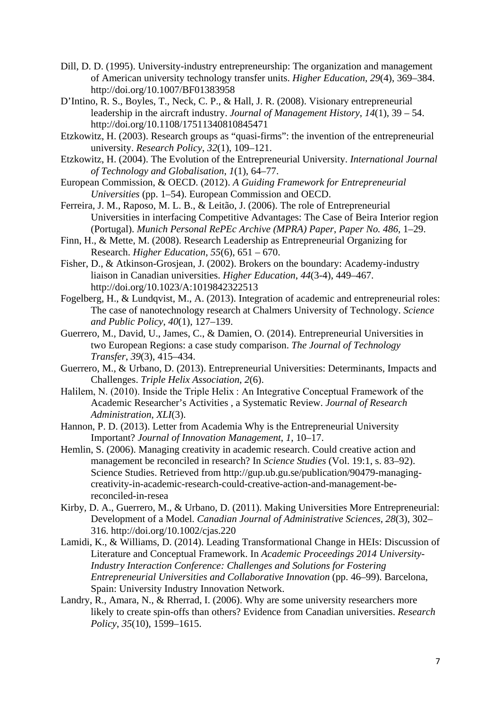- Dill, D. D. (1995). University-industry entrepreneurship: The organization and management of American university technology transfer units. *Higher Education*, *29*(4), 369–384. http://doi.org/10.1007/BF01383958
- D'Intino, R. S., Boyles, T., Neck, C. P., & Hall, J. R. (2008). Visionary entrepreneurial leadership in the aircraft industry. *Journal of Management History*, *14*(1), 39 – 54. http://doi.org/10.1108/17511340810845471
- Etzkowitz, H. (2003). Research groups as "quasi-firms": the invention of the entrepreneurial university. *Research Policy*, *32*(1), 109–121.
- Etzkowitz, H. (2004). The Evolution of the Entrepreneurial University. *International Journal of Technology and Globalisation*, *1*(1), 64–77.
- European Commission, & OECD. (2012). *A Guiding Framework for Entrepreneurial Universities* (pp. 1–54). European Commission and OECD.
- Ferreira, J. M., Raposo, M. L. B., & Leitão, J. (2006). The role of Entrepreneurial Universities in interfacing Competitive Advantages: The Case of Beira Interior region (Portugal). *Munich Personal RePEc Archive (MPRA) Paper*, *Paper No. 486*, 1–29.
- Finn, H., & Mette, M. (2008). Research Leadership as Entrepreneurial Organizing for Research. *Higher Education*, *55*(6), 651 – 670.
- Fisher, D., & Atkinson-Grosjean, J. (2002). Brokers on the boundary: Academy-industry liaison in Canadian universities. *Higher Education*, *44*(3-4), 449–467. http://doi.org/10.1023/A:1019842322513
- Fogelberg, H., & Lundqvist, M., A. (2013). Integration of academic and entrepreneurial roles: The case of nanotechnology research at Chalmers University of Technology. *Science and Public Policy*, *40*(1), 127–139.
- Guerrero, M., David, U., James, C., & Damien, O. (2014). Entrepreneurial Universities in two European Regions: a case study comparison. *The Journal of Technology Transfer*, *39*(3), 415–434.
- Guerrero, M., & Urbano, D. (2013). Entrepreneurial Universities: Determinants, Impacts and Challenges. *Triple Helix Association*, *2*(6).
- Halilem, N. (2010). Inside the Triple Helix : An Integrative Conceptual Framework of the Academic Researcher's Activities , a Systematic Review. *Journal of Research Administration*, *XLI*(3).
- Hannon, P. D. (2013). Letter from Academia Why is the Entrepreneurial University Important? *Journal of Innovation Management*, *1*, 10–17.
- Hemlin, S. (2006). Managing creativity in academic research. Could creative action and management be reconciled in research? In *Science Studies* (Vol. 19:1, s. 83–92). Science Studies. Retrieved from http://gup.ub.gu.se/publication/90479-managingcreativity-in-academic-research-could-creative-action-and-management-bereconciled-in-resea
- Kirby, D. A., Guerrero, M., & Urbano, D. (2011). Making Universities More Entrepreneurial: Development of a Model. *Canadian Journal of Administrative Sciences*, *28*(3), 302– 316. http://doi.org/10.1002/cjas.220
- Lamidi, K., & Williams, D. (2014). Leading Transformational Change in HEIs: Discussion of Literature and Conceptual Framework. In *Academic Proceedings 2014 University-Industry Interaction Conference: Challenges and Solutions for Fostering Entrepreneurial Universities and Collaborative Innovation* (pp. 46–99). Barcelona, Spain: University Industry Innovation Network.
- Landry, R., Amara, N., & Rherrad, I. (2006). Why are some university researchers more likely to create spin-offs than others? Evidence from Canadian universities. *Research Policy*, *35*(10), 1599–1615.